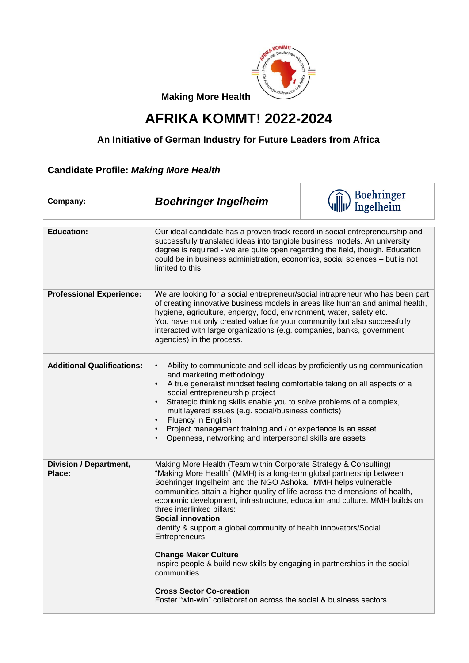

**Making More Health**

## **AFRIKA KOMMT! 2022-2024**

## **An Initiative of German Industry for Future Leaders from Africa**

## **Candidate Profile:** *Making More Health*

| Company:                                | <b>Boehringer Ingelheim</b>                                                                                                                                                                                                                                                                                                                                                                                                                                                                                                                                                                                                                                                                                                                                    | Boehringer<br>Ingelheim |
|-----------------------------------------|----------------------------------------------------------------------------------------------------------------------------------------------------------------------------------------------------------------------------------------------------------------------------------------------------------------------------------------------------------------------------------------------------------------------------------------------------------------------------------------------------------------------------------------------------------------------------------------------------------------------------------------------------------------------------------------------------------------------------------------------------------------|-------------------------|
| <b>Education:</b>                       | Our ideal candidate has a proven track record in social entrepreneurship and<br>successfully translated ideas into tangible business models. An university<br>degree is required - we are quite open regarding the field, though. Education<br>could be in business administration, economics, social sciences - but is not<br>limited to this.                                                                                                                                                                                                                                                                                                                                                                                                                |                         |
| <b>Professional Experience:</b>         | We are looking for a social entrepreneur/social intrapreneur who has been part<br>of creating innovative business models in areas like human and animal health,<br>hygiene, agriculture, engergy, food, environment, water, safety etc.<br>You have not only created value for your community but also successfully<br>interacted with large organizations (e.g. companies, banks, government<br>agencies) in the process.                                                                                                                                                                                                                                                                                                                                     |                         |
| <b>Additional Qualifications:</b>       | Ability to communicate and sell ideas by proficiently using communication<br>$\bullet$<br>and marketing methodology<br>A true generalist mindset feeling comfortable taking on all aspects of a<br>$\bullet$<br>social entrepreneurship project<br>Strategic thinking skills enable you to solve problems of a complex,<br>$\bullet$<br>multilayered issues (e.g. social/business conflicts)<br>Fluency in English<br>$\bullet$<br>Project management training and / or experience is an asset<br>$\bullet$<br>Openness, networking and interpersonal skills are assets<br>$\bullet$                                                                                                                                                                           |                         |
| <b>Division / Department,</b><br>Place: | Making More Health (Team within Corporate Strategy & Consulting)<br>"Making More Health" (MMH) is a long-term global partnership between<br>Boehringer Ingelheim and the NGO Ashoka. MMH helps vulnerable<br>communities attain a higher quality of life across the dimensions of health,<br>economic development, infrastructure, education and culture. MMH builds on<br>three interlinked pillars:<br><b>Social innovation</b><br>Identify & support a global community of health innovators/Social<br>Entrepreneurs<br><b>Change Maker Culture</b><br>Inspire people & build new skills by engaging in partnerships in the social<br>communities<br><b>Cross Sector Co-creation</b><br>Foster "win-win" collaboration across the social & business sectors |                         |